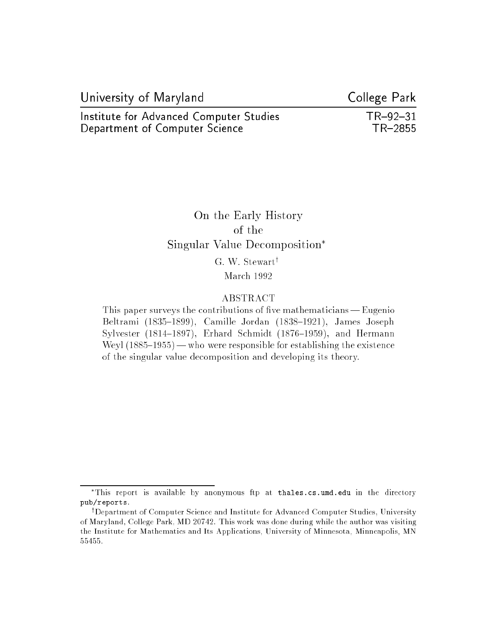| University of Maryland                  | College Park |
|-----------------------------------------|--------------|
| Institute for Advanced Computer Studies | $TR-92-31$   |
| Department of Computer Science          | TR-2855      |

# On the Early History  $-$ Singular Value Decomposition G. W. Stewart<sup>†</sup> March 1992

#### ABSTRACT

This paper surveys the contributions of five mathematicians  $-$  Eugenio Beltrami (1835-1899), Camille Jordan (1838-1921), James Joseph Sylvester (1814-1897), Erhard Schmidt (1876-1959), and Hermann Weyl  $(1885-1955)$  — who were responsible for establishing the existence of the singular value decomposition and developing its theory.

This report is available by anonymous ftp at thales.cs.umd.edu in the directory pub/reports.

<sup>&</sup>lt;sup>†</sup>Department of Computer Science and Institute for Advanced Computer Studies, University of Maryland, College Park, MD 20742. This work was done during while the author was visiting the Institute for Mathematics and Its Applications, University of Minnesota, Minneapolis, MN 55455.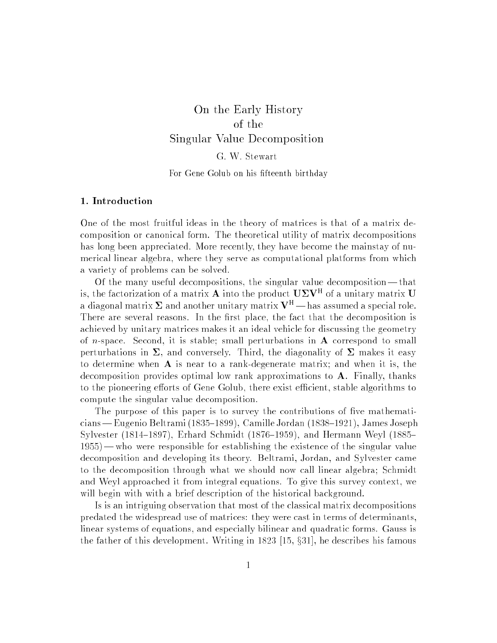# On the Early History  $S = S$  , which decomposition  $S$  is a set of  $S$  in the set of  $S$

# G. W. Stewart

#### For Gene Golub on his fifteenth birthday

#### 1. Introduction

One of the most fruitful ideas in the theory of matrices is that of a matrix decomposition or canonical form. The theoretical utility of matrix decompositions has long been appreciated. More recently, they have become the mainstay of numerical linear algebra, where they serve as computational platforms from which a variety of problems can be solved.

Of the many useful decompositions, the singular value decomposition| that is, the factorization of a matrix  ${\bf A}$  into the product  ${\bf \cup}$   $\bf \Sigma$   $\bf v}$  . Of a unitary matrix  ${\bf U}$ a diagonal matrix  $\Sigma$  and another unitary matrix  $V^H$  — has assumed a special role. There are several reasons. In the first place, the fact that the decomposition is achieved by unitary matrices makes it an ideal vehicle for discussing the geometry of *n*-space. Second, it is stable; small perturbations in  $\bf{A}$  correspond to small perturbations in  $\Sigma$ , and conversely. Third, the diagonality of  $\Sigma$  makes it easy to determine when A is near to a rank-degenerate matrix; and when it is, the decomposition provides optimal low rank approximations to A. Finally, thanks to the pioneering efforts of Gene Golub, there exist efficient, stable algorithms to compute the singular value decomposition.

The purpose of this paper is to survey the contributions of five mathematicians — Eugenio Beltrami (1835–1899), Camille Jordan (1838–1921), James Joseph Sylvester (1814–1897), Erhard Schmidt (1876–1959), and Hermann Weyl (1885–  $1955$ ) — who were responsible for establishing the existence of the singular value decomposition and developing its theory. Beltrami, Jordan, and Sylvester came to the decomposition through what we should now call linear algebra; Schmidt and Weyl approached it from integral equations. To give this survey context, we will begin with with a brief description of the historical background.

Is is an intriguing observation that most of the classical matrix decompositions predated the widespread use of matrices: they were cast in terms of determinants, linear systems of equations, and especially bilinear and quadratic forms. Gauss is the father of this development. Writing in  $1823$  [15,  $\S31$ ], he describes his famous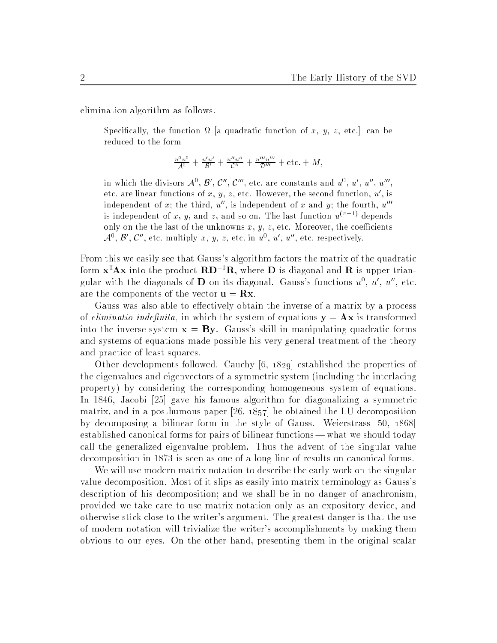elimination algorithm as follows.

, y, a contract is the function of the function of the function of a contract in the function of the function o reduced to the form

$$
\frac{u^0 u^0}{\mathcal{A}^0} + \frac{u' u'}{\mathcal{B}'} + \frac{u'' u''}{\mathcal{C}''} + \frac{u''' u'''}{\mathcal{D}'''} + \text{etc.} + M,
$$

in which the divisors  $A^+, B^-, C^-, C^-$ , etc. are constants and  $u^-, u^-, u^-, u^$ etc. are intear functions of  $x, y, z$ , etc. However, the second function,  $u$  , is independent of x; the third,  $u''$ , is independent of x and y; the fourth,  $u'''$ is independent of x, y, and z, and so on. The last function  $u^{(\pi-1)}$  depends only on the the last of the unknowns  $x, y, z$ , etc. Moreover, the coefficients  $A^{\sim}$ ,  $B$  ,  $C$  , etc. multiply  $x$ ,  $y$ ,  $z$ , etc. in  $u^{\sim}$ ,  $u$  ,  $u^{\sim}$  etc. respectively.

From this we easily see that Gauss's algorithm factors the matrix of the quadratic form  $x^T A x$  into the product  $R D^{-1}R$ , where D is diagonal and R is upper triangular with the diagonals of **D** on its diagonal. Gauss's functions  $u^0$ ,  $u'$ ,  $u''$ , etc. are the components of the vector  $\mathbf{u} = \mathbf{R}\mathbf{x}$ .

Gauss was also able to effectively obtain the inverse of a matrix by a process of *eliminatio indefinita*, in which the system of equations  $y = Ax$  is transformed into the inverse system  $x = By$ . Gauss's skill in manipulating quadratic forms and systems of equations made possible his very general treatment of the theory and practice of least squares.

Other developments followed. Cauchy [6, 1829] established the properties of the eigenvalues and eigenvectors of a symmetric system (including the interlacing property) by considering the corresponding homogeneous system of equations. In 1846, Jacobi [25] gave his famous algorithm for diagonalizing a symmetric matrix, and in a posthumous paper [26, 1857] he obtained the LU decomposition by decomposing a bilinear form in the style of Gauss. Weierstrass [50, 1868] established canonical forms for pairs of bilinear functions — what we should today call the generalized eigenvalue problem. Thus the advent of the singular value decomposition in 1873 is seen as one of a long line of results on canonical forms.

We will use modern matrix notation to describe the early work on the singular value decomposition. Most of it slips as easily into matrix terminology as Gauss's description of his decomposition; and we shall be in no danger of anachronism, provided we take care to use matrix notation only as an expository device, and otherwise stick close to the writer's argument. The greatest danger is that the use of modern notation will trivialize the writer's accomplishments by making them obvious to our eyes. On the other hand, presenting them in the original scalar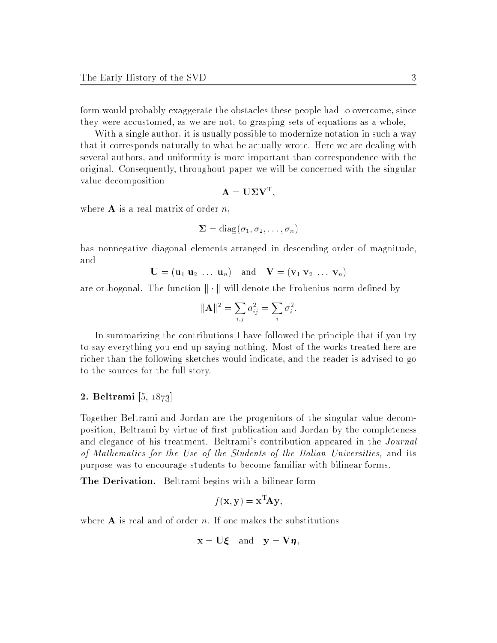form would probably exaggerate the obstacles these people had to overcome, since they were accustomed, as we are not, to grasping sets of equations as a whole,

With a single author, it is usually possible to modernize notation in such a way that it corresponds naturally to what he actually wrote. Here we are dealing with several authors, and uniformity is more important than correspondence with the original. Consequently, throughout paper we will be concerned with the singular value decomposition

$$
\mathbf{A} = \mathbf{U} \mathbf{\Sigma} \mathbf{V}^{\mathrm{T}}
$$

where  $A$  is a real matrix of order  $n$ ,

$$
\mathbf{\Sigma} = \mathrm{diag}(\sigma_1, \sigma_2, \dots, \sigma_n)
$$

has nonnegative diagonal elements arranged in descending order of magnitude,

$$
\mathbf{U} = (\mathbf{u}_1 \ \mathbf{u}_2 \ \dots \ \mathbf{u}_n) \quad \text{and} \quad \mathbf{V} = (\mathbf{v}_1 \ \mathbf{v}_2 \ \dots \ \mathbf{v}_n)
$$

are orthogonal. The function  $\|\cdot\|$  will denote the Frobenius norm defined by

$$
\|\mathbf{A}\|^2 = \sum_{i,j} a_{ij}^2 = \sum_i \sigma_i^2.
$$

In summarizing the contributions I have followed the principle that if you try to say everything you end up saying nothing. Most of the works treated here are richer than the following sketches would indicate, and the reader is advised to go to the sources for the full story.

#### 2. Beltrami [5, 1873]

Together Beltrami and Jordan are the progenitors of the singular value decomposition, Beltrami by virtue of first publication and Jordan by the completeness and elegance of his treatment. Beltrami's contribution appeared in the Journal of Mathematics for the Use of the Students of the Italian Universities, and its purpose was to encourage students to become familiar with bilinear forms.

The Derivation. Beltrami begins with a bilinear form

$$
f(\mathbf{x}, \mathbf{y}) = \mathbf{x}^{\mathrm{T}} \mathbf{A} \mathbf{y},
$$

where  $A$  is real and of order n. If one makes the substitutions

$$
\mathbf{x} = \mathbf{U}\boldsymbol{\xi} \quad \text{and} \quad \mathbf{y} = \mathbf{V}\boldsymbol{\eta},
$$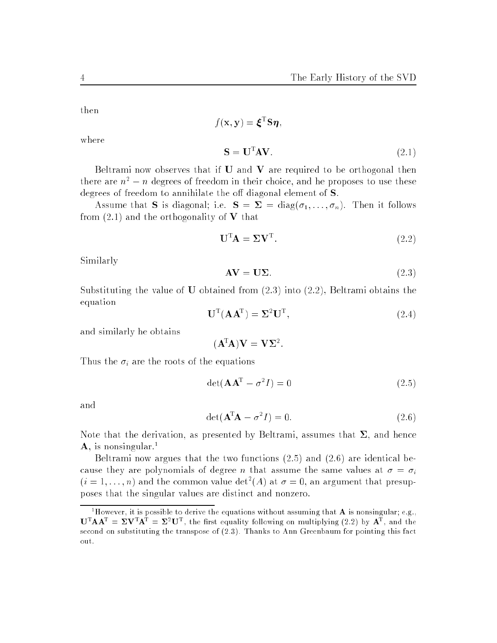then

where

$$
f(\mathbf{x}, \mathbf{y}) = \boldsymbol{\xi}^{\mathrm{T}} \mathbf{S} \boldsymbol{\eta},
$$

$$
\mathbf{S} = \mathbf{U}^{\mathrm{T}} \mathbf{A} \mathbf{V}.
$$
(2.1)

Beltrami now observes that if  $U$  and  $V$  are required to be orthogonal then there are  $n^2 - n$  degrees of freedom in their choice, and he proposes to use these degrees of freedom to annihilate the off diagonal element of  $S$ .

Assume that **S** is diagonal; i.e.  $S = \Sigma = diag(\sigma_1, \ldots, \sigma_n)$ . Then it follows from  $(2.1)$  and the orthogonality of V that

$$
\mathbf{U}^{\mathrm{T}}\mathbf{A} = \boldsymbol{\Sigma}\mathbf{V}^{\mathrm{T}}.\tag{2.2}
$$

Similarly

$$
AV = U\Sigma.
$$
 (2.3)

Substituting the value of  **obtained from**  $(2.3)$  **into**  $(2.2)$ **, Beltrami obtains the** equation

$$
\mathbf{U}^{\mathrm{T}}(\mathbf{A}\mathbf{A}^{\mathrm{T}}) = \mathbf{\Sigma}^2 \mathbf{U}^{\mathrm{T}},\tag{2.4}
$$

and similarly he obtains

 $(A^{T}A)V = V\Sigma^{2}$ .

Thus the  $\sigma_i$  are the roots of the equations

$$
\det(\mathbf{A}\mathbf{A}^{\mathrm{T}} - \sigma^2 I) = 0 \tag{2.5}
$$

and

$$
\det(\mathbf{A}^{\mathrm{T}}\mathbf{A} - \sigma^2 I) = 0. \tag{2.6}
$$

Note that the derivation, as presented by Beltrami, assumes that  $\Sigma$ , and hence  $\bf{A}$ , is nonsingular.<sup>1</sup>

Beltrami now argues that the two functions  $(2.5)$  and  $(2.6)$  are identical because they are polynomials of degree *n* that assume the same values at  $\sigma = \sigma_i$  $(i = 1, \ldots, n)$  and the common value det  $(A)$  at  $\sigma = 0$ , an argument that presupposes that the singular values are distinct and nonzero.

<sup>&</sup>lt;sup>1</sup>However, it is possible to derive the equations without assuming that **A** is nonsingular; e.g.,  $\mathbf{U}^{\mathrm{T}}\mathbf{A}\mathbf{A}^{\mathrm{T}} = \mathbf{\Sigma}\mathbf{V}^{\mathrm{T}}\mathbf{A}^{\mathrm{T}} = \mathbf{\Sigma}^2\mathbf{U}^{\mathrm{T}}$ , the first equality following on multiplying (2.2) by  $\mathbf{A}^{\mathrm{T}}$ , and the second on substituting the transpose of (2.3). Thanks to Ann Greenbaum for pointing this fact out.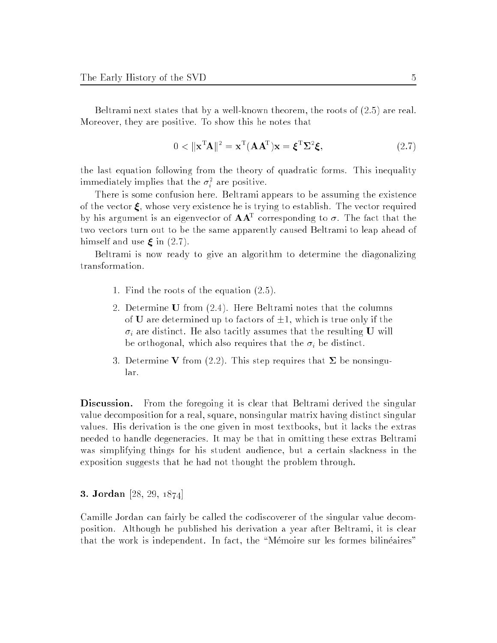Beltrami next states that by a well-known theorem, the roots of (2.5) are real. Moreover, they are positive. To show this he notes that

$$
0 < \|\mathbf{x}^{\mathrm{T}}\mathbf{A}\|^2 = \mathbf{x}^{\mathrm{T}}(\mathbf{A}\mathbf{A}^{\mathrm{T}})\mathbf{x} = \boldsymbol{\xi}^{\mathrm{T}}\boldsymbol{\Sigma}^2\boldsymbol{\xi},\tag{2.7}
$$

the last equation following from the theory of quadratic forms. This inequality immediately implies that the  $\sigma_i^{\pm}$  are positive.

There is some confusion here. Beltrami appears to be assuming the existence of the vector  $\xi$ , whose very existence he is trying to establish. The vector required by his argument is an eigenvector of  $AA^-$  corresponding to  $\sigma$ . The fact that the two vectors turn out to be the same apparently caused Beltrami to leap ahead of himself and use  $\xi$  in (2.7).

Beltrami is now ready to give an algorithm to determine the diagonalizing transformation.

- 1. Find the roots of the equation (2.5).
- 2. Determine U from (2.4). Here Beltrami notes that the columns of **U** are determined up to factors of  $\pm 1$ , which is true only if the  $\sigma_i$  are distinct. He also tacitly assumes that the resulting U will be orthogonal, which also requires that the  $\sigma_i$  be distinct.
- 3. Determine V from (2.2). This step requires that  $\Sigma$  be nonsingular.

Discussion. From the foregoing it is clear that Beltrami derived the singular value decomposition for a real, square, nonsingular matrix having distinct singular values. His derivation is the one given in most textbooks, but it lacks the extras needed to handle degeneracies. It may be that in omitting these extras Beltrami was simplifying things for his student audience, but a certain slackness in the exposition suggests that he had not thought the problem through.

3. Jordan [28, 29, 1874]

Camille Jordan can fairly be called the codiscoverer of the singular value decomposition. Although he published his derivation a year after Beltrami, it is clear that the work is independent. In fact, the "Mémoire sur les formes bilinéaires"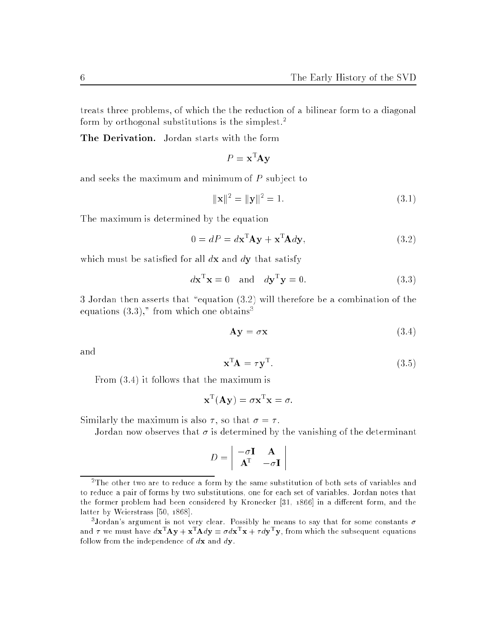treats three problems, of which the the reduction of a bilinear form to a diagonal form by orthogonal substitutions is the simplest.<sup>2</sup>

The Derivation. Jordan starts with the form

$$
P = \mathbf{x}^{\mathrm{T}} \mathbf{A} \mathbf{y}
$$

and seeks the maximum and minimum of  $P$  subject to

$$
\|\mathbf{x}\|^2 = \|\mathbf{y}\|^2 = 1.
$$
\n(3.1)

The maximum is determined by the equation

$$
0 = dP = d\mathbf{x}^{\mathrm{T}} \mathbf{A} \mathbf{y} + \mathbf{x}^{\mathrm{T}} \mathbf{A} d\mathbf{y},\tag{3.2}
$$

which must be satisfied for all  $d\mathbf{x}$  and  $d\mathbf{y}$  that satisfy

$$
d\mathbf{x}^{\mathrm{T}}\mathbf{x} = 0 \quad \text{and} \quad d\mathbf{y}^{\mathrm{T}}\mathbf{y} = 0. \tag{3.3}
$$

3 Jordan then asserts that "equation  $(3.2)$  will therefore be a combination of the equations  $(3.3)$ ," from which one obtains<sup>3</sup>

$$
Ay = \sigma x \tag{3.4}
$$

and

$$
\mathbf{x}^{\mathrm{T}} \mathbf{A} = \tau \mathbf{y}^{\mathrm{T}}.\tag{3.5}
$$

From (3.4) it follows that the maximum is

$$
\mathbf{x}^{\mathrm{T}}(\mathbf{A}\mathbf{y}) = \sigma \mathbf{x}^{\mathrm{T}} \mathbf{x} = \sigma.
$$

Similarly the maximum is also  $\tau$ , so that  $\sigma = \tau$ .

Jordan now observes that  $\sigma$  is determined by the vanishing of the determinant

$$
D = \begin{vmatrix} -\sigma \mathbf{I} & \mathbf{A} \\ \mathbf{A}^{\mathrm{T}} & -\sigma \mathbf{I} \end{vmatrix}
$$

<sup>2</sup> The other two are to reduce a form by the same substitution of both sets of variables and to reduce a pair of forms by two substitutions, one for each set of variables. Jordan notes that the former problem had been considered by Kronecker  $[31, 1866]$  in a different form, and the latter by Weierstrass [50, 1868].

<sup>&</sup>lt;sup>3</sup>Jordan's argument is not very clear. Possibly he means to say that for some constants  $\sigma$ and  $\tau$  we must have  $d\mathbf{x}^{\mathsf{T}}\mathbf{A}\mathbf{y} + \mathbf{x}^{\mathsf{T}}\mathbf{A}d\mathbf{y} = \sigma d\mathbf{x}^{\mathsf{T}}\mathbf{x} + \tau d\mathbf{y}^{\mathsf{T}}\mathbf{y}$ , from which the subsequent equations follow from the independence of  $d\mathbf{x}$  and  $d\mathbf{y}$ .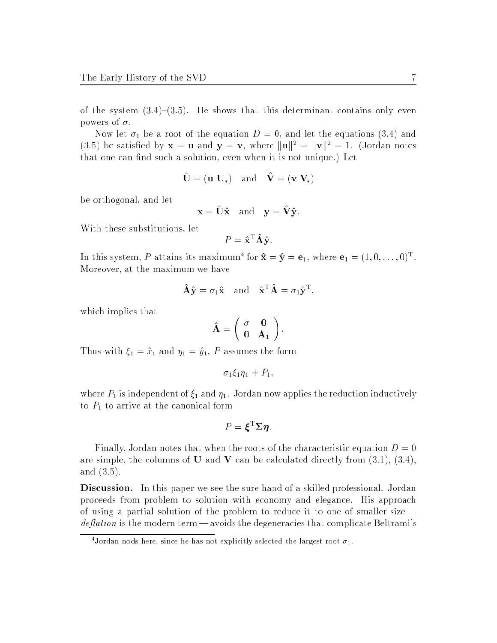of the system  $(3.4)-(3.5)$ . He shows that this determinant contains only even powers of  $\sigma$ .

Now let 1 be <sup>a</sup> root of the equation <sup>D</sup> <sup>=</sup> 0, and let the equations (3.4) and (3.5) be satisfied by  $\mathbf{x} = \mathbf{u}$  and  $\mathbf{y} = \mathbf{v}$ , where  $\|\mathbf{u}\|^2 = \|\mathbf{v}\|^2 = 1$ . (Jordan notes that one can find such a solution, even when it is not unique.) Let

$$
\hat{\mathbf{U}} = (\mathbf{u} \ \mathbf{U}_{*}) \quad \text{and} \quad \hat{\mathbf{V}} = (\mathbf{v} \ \mathbf{V}_{*})
$$

be orthogonal, and let

$$
\mathbf{x} = \hat{\mathbf{U}} \hat{\mathbf{x}} \quad \text{and} \quad \mathbf{y} = \hat{\mathbf{V}} \hat{\mathbf{y}}.
$$

With these substitutions, let

$$
P = \hat{\mathbf{x}}^{\mathrm{T}} \mathbf{A} \hat{\mathbf{y}}.
$$

In this system, P attains its maximum for  ${\bf x} = {\bf y} = {\bf e}_1,$  where  ${\bf e}_1 = (1, 0, \ldots, 0)^T.$ Moreover, at the maximum we have

$$
\hat{\mathbf{A}}\hat{\mathbf{y}} = \sigma_1\hat{\mathbf{x}} \text{ and } \hat{\mathbf{x}}^{\mathrm{T}}\hat{\mathbf{A}} = \sigma_1\hat{\mathbf{y}}^{\mathrm{T}},
$$

which implies that

$$
\hat{\mathbf{A}} = \left( \begin{array}{cc} \sigma & \mathbf{0} \\ \mathbf{0} & \mathbf{A}_1 \end{array} \right).
$$

Thus with  $\mathbf{Y}_1$  and  $\mathbf{Y}_1$  and  $\mathbf{Y}_1$ , P and formulation the formulation formulation  $\mathbf{Y}_1$ 

$$
\sigma_1 \xi_1 \eta_1 + P_1,
$$

where P1 is independent of 1 and 1. Jordan now applies the reduction induction induction induction induction i to P1 to P1 to arrive at the canonical form at the canonical form at the canonical form at the canonical form

$$
P = \boldsymbol{\xi}^{\mathrm{T}} \boldsymbol{\Sigma} \boldsymbol{\eta}.
$$

Finally, Jordan notes that when the roots of the characteristic equation  $D = 0$ are simple, the columns of **U** and **V** can be calculated directly from  $(3.1)$ ,  $(3.4)$ , and (3.5).

Discussion. In this paper we see the sure hand of a skilled professional. Jordan proceeds from problem to solution with economy and elegance. His approach of using a partial solution of the problem to reduce it to one of smaller size *deflation* is the modern term — avoids the degeneracies that complicate Beltrami's

Jordan nods here, since he has not explicitly selected the largest root  $\sigma_1.$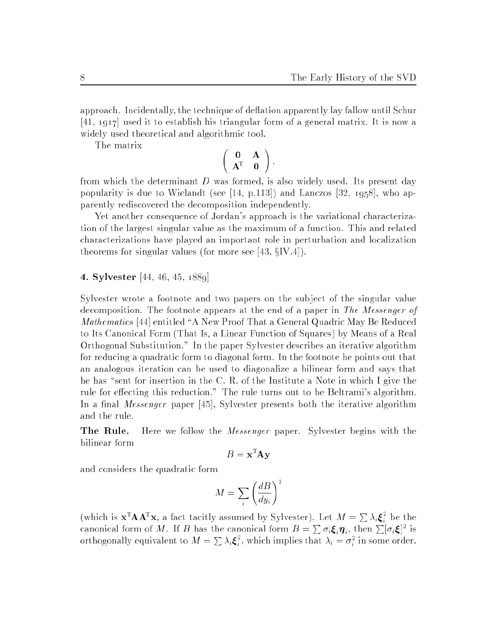<sup>i</sup>

approach. Incidentally, the technique of deflation apparently lay fallow until Schur [41, 1917] used it to establish his triangular form of a general matrix. It is now a widely used theoretical and algorithmic tool.

The matrix

$$
\left(\begin{array}{cc} 0 & A \\ A^T & 0 \end{array}\right),
$$

from which the determinant  $D$  was formed, is also widely used. Its present day popularity is due to Wielandt (see [14, p.113]) and Lanczos [32, 1958], who apparently rediscovered the decomposition independently.

Yet another consequence of Jordan's approach is the variational characterization of the largest singular value as the maximum of a function. This and related characterizations have played an important role in perturbation and localization theorems for singular values (for more see [43,  $\S IV.4$ ]).

4. Sylvester [44, 46, 45, 1889]

Sylvester wrote a footnote and two papers on the subject of the singular value decomposition. The footnote appears at the end of a paper in The Messenger of Mathematics [44] entitled "A New Proof That a General Quadric May Be Reduced to Its Canonical Form (That Is, a Linear Function of Squares) by Means of a Real Orthogonal Substitution." In the paper Sylvester describes an iterative algorithm for reducing a quadratic form to diagonal form. In the footnote he points out that an analogous iteration can be used to diagonalize a bilinear form and says that he has "sent for insertion in the C. R. of the Institute a Note in which I give the rule for effecting this reduction." The rule turns out to be Beltrami's algorithm. In a final *Messenger* paper [45], Sylvester presents both the iterative algorithm and the rule.

**The Rule.** Here we follow the *Messenger* paper. Sylvester begins with the bilinear form

$$
B = \mathbf{x}^{\mathrm{T}} \mathbf{A} \mathbf{y}
$$

and considers the quadratic form

$$
M = \sum_{i} \left(\frac{dB}{dy_i}\right)^2
$$

(which is  $\mathbf{x}^{\mathrm{T}}\mathbf{A}\mathbf{A}^{\mathrm{T}}\mathbf{x}$ , a fact tacitly assumed by Sylvester). Let  $M = \sum \lambda_i \boldsymbol{\xi}_i^2$  be the canonical form of M. If B has the canonical form  $B=\sum \sigma_i \bm{\xi}_i \bm{\eta}_i$ , then  $\sum [\sigma_i \bm{\xi}]^2$  is orthogonally equivalent to  $M = \sum_i \lambda_i \xi_i^2$ , which implies that  $\lambda_i = \sigma_i^2$  in some order.

<sup>i</sup>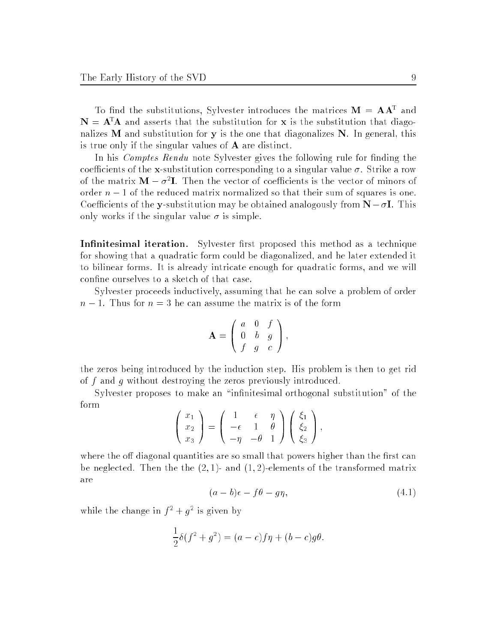To find the substitutions, Sylvester introduces the matrices  $M = AA^-$  and  $N = A<sup>T</sup>A$  and asserts that the substitution for x is the substitution that diagonalizes  $M$  and substitution for  $y$  is the one that diagonalizes  $N$ . In general, this is true only if the singular values of A are distinct.

In his *Comptes Rendu* note Sylvester gives the following rule for finding the coefficients of the x-substitution corresponding to a singular value  $\sigma$ . Strike a row of the matrix  $\mathbf{M} = \sigma^2 \mathbf{I}$ . Then the vector of coefficients is the vector of minors of order  $n-1$  of the reduced matrix normalized so that their sum of squares is one. Coefficients of the y-substitution may be obtained analogously from  $N - \sigma I$ . This only works if the singular value  $\sigma$  is simple.

**Infinitesimal iteration.** Sylvester first proposed this method as a technique for showing that a quadratic form could be diagonalized, and he later extended it to bilinear forms. It is already intricate enough for quadratic forms, and we will confine ourselves to a sketch of that case.

Sylvester proceeds inductively, assuming that he can solve a problem of order  $n-1$ . Thus for  $n=3$  he can assume the matrix is of the form

$$
\mathbf{A} = \left( \begin{array}{ccc} a & 0 & f \\ 0 & b & g \\ f & g & c \end{array} \right),
$$

the zeros being introduced by the induction step. His problem is then to get rid of f and g without destroying the zeros previously introduced.

Sylvester proposes to make an "infinitesimal orthogonal substitution" of the form

$$
\begin{pmatrix} x_1 \\ x_2 \\ x_3 \end{pmatrix} = \begin{pmatrix} 1 & \epsilon & \eta \\ -\epsilon & 1 & \theta \\ -\eta & -\theta & 1 \end{pmatrix} \begin{pmatrix} \xi_1 \\ \xi_2 \\ \xi_3 \end{pmatrix},
$$

where the off diagonal quantities are so small that powers higher than the first can be neglected. Then the the  $(2, 1)$ - and  $(1, 2)$ -elements of the transformed matrix are

$$
(a-b)\epsilon - f\theta - g\eta, \tag{4.1}
$$

while the change in  $I^+ + q^-$  is given by

$$
\frac{1}{2}\delta(f^2+g^2)=(a-c)f\eta+(b-c)g\theta.
$$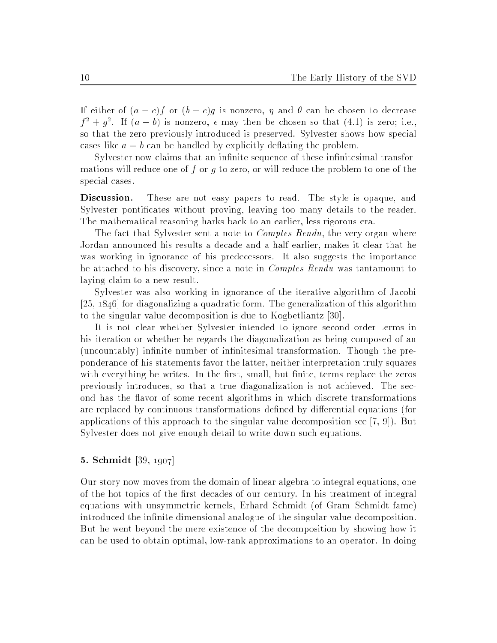If either of  $(a - c)f$  or  $(b - c)g$  is nonzero,  $\eta$  and  $\theta$  can be chosen to decrease  $\beta_1^+ + \beta_-^+$ . If  $(a - b)$  is nonzero,  $\epsilon$  may then be chosen so that (4.1) is zero; i.e., so that the zero previously introduced is preserved. Sylvester shows how special cases like  $a = b$  can be handled by explicitly deflating the problem.

Sylvester now claims that an infinite sequence of these infinitesimal transformations will reduce one of f or  $q$  to zero, or will reduce the problem to one of the special cases.

Discussion. These are not easy papers to read. The style is opaque, and Sylvester pontificates without proving, leaving too many details to the reader. The mathematical reasoning harks back to an earlier, less rigorous era.

The fact that Sylvester sent a note to *Comptes Rendu*, the very organ where Jordan announced his results a decade and a half earlier, makes it clear that he was working in ignorance of his predecessors. It also suggests the importance he attached to his discovery, since a note in Comptes Rendu was tantamount to laying claim to a new result.

Sylvester was also working in ignorance of the iterative algorithm of Jacobi [25, 1846] for diagonalizing a quadratic form. The generalization of this algorithm to the singular value decomposition is due to Kogbetliantz [30].

It is not clear whether Sylvester intended to ignore second order terms in his iteration or whether he regards the diagonalization as being composed of an (uncountably) infinite number of infinitesimal transformation. Though the preponderance of his statements favor the latter, neither interpretation truly squares with everything he writes. In the first, small, but finite, terms replace the zeros previously introduces, so that a true diagonalization is not achieved. The second has the avor of some recent algorithms in which discrete transformations are replaced by continuous transformations defined by differential equations (for applications of this approach to the singular value decomposition see [7, 9]). But Sylvester does not give enough detail to write down such equations.

#### 5. Schmidt [39, 1907]

Our story now moves from the domain of linear algebra to integral equations, one of the hot topics of the first decades of our century. In his treatment of integral equations with unsymmetric kernels, Erhard Schmidt (of Gram–Schmidt fame) introduced the infinite dimensional analogue of the singular value decomposition. But he went beyond the mere existence of the decomposition by showing how it can be used to obtain optimal, low-rank approximations to an operator. In doing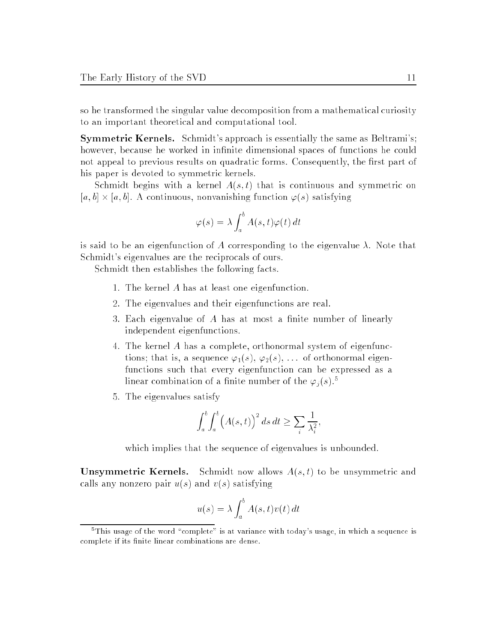so he transformed the singular value decomposition from a mathematical curiosity to an important theoretical and computational tool.

Symmetric Kernels. Schmidt's approach is essentially the same as Beltrami's; however, because he worked in infinite dimensional spaces of functions he could not appeal to previous results on quadratic forms. Consequently, the first part of his paper is devoted to symmetric kernels.

Schmidt begins with a kernel  $A(s,t)$  that is continuous and symmetric on  $[a, b] \times [a, b]$ . A continuous, nonvanishing function  $\varphi(s)$  satisfying

$$
\varphi(s) = \lambda \int_a^b A(s, t) \varphi(t) dt
$$

is said to be an eigenfunction of A corresponding to the eigenvalue  $\lambda$ . Note that Schmidt's eigenvalues are the reciprocals of ours.

Schmidt then establishes the following facts.

- 1. The kernel A has at least one eigenfunction.
- 2. The eigenvalues and their eigenfunctions are real.
- 3. Each eigenvalue of  $A$  has at most a finite number of linearly independent eigenfunctions.
- 4. The kernel A has a complete, orthonormal system of eigenfunctions; that is, a sequence  $\varphi_1(s)$ ,  $\varphi_2(s)$ , ... of orthonormal eigenfunctions such that every eigenfunction can be expressed as a linear combination of a finite number of the  $\varphi_j(s)$ .<sup>5</sup>
- 5. The eigenvalues satisfy

$$
\int_a^b \int_a^b \left( A(s,t) \right)^2 ds \, dt \ge \sum_i \frac{1}{\lambda_i^2},
$$

which implies that the sequence of eigenvalues is unbounded.

**Unsymmetric Kernels.** Schmidt now allows  $A(s,t)$  to be unsymmetric and calls any nonzero pair  $u(s)$  and  $v(s)$  satisfying

$$
u(s) = \lambda \int_a^b A(s, t) v(t) dt
$$

 $\rm{^{5}This}$  usage of the word "complete" is at variance with today's usage, in which a sequence is complete if its finite linear combinations are dense.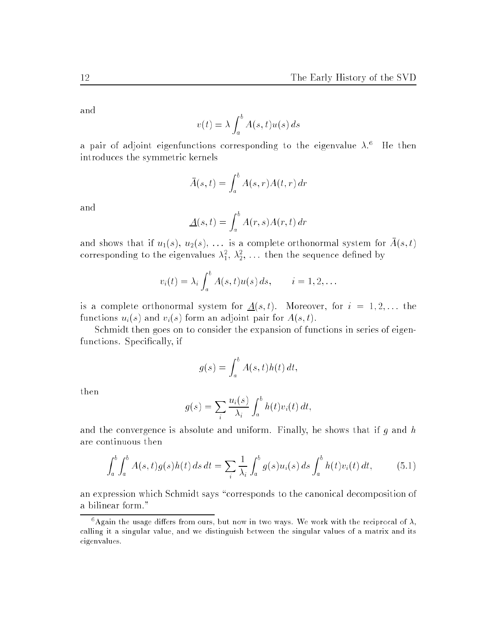and

$$
v(t) = \lambda \int_a^b A(s, t) u(s) \, ds
$$

a pair of adjoint eigenfunctions corresponding to the eigenvalue  $\lambda$ . The then introduces the symmetric kernels

$$
\bar{A}(s,t) = \int_a^b A(s,r)A(t,r) dr
$$

and

$$
\underline{A}(s,t) = \int_a^b A(r,s)A(r,t) \, dr
$$

and shows that if  $u_1(s), u_2(s), \ldots$  is a complete orthonormal system for  $A(s,t)$ corresponding to the eigenvalues  $\lambda_1^*,\,\lambda_2^*,\,\ldots\,$  then the sequence defined by

$$
v_i(t) = \lambda_i \int_a^b A(s,t) u(s) ds, \qquad i = 1,2,\ldots
$$

is a complete orthonormal system for  $\underline{A}(s,t)$ . Moreover, for  $i = 1, 2, \ldots$  the functions  $u_i(s)$  and  $v_i(s)$  form an adjoint pair for  $A(s, t)$ .

Schmidt then goes on to consider the expansion of functions in series of eigenfunctions. Specifically, if

$$
g(s) = \int_a^b A(s, t)h(t) dt,
$$

then

$$
g(s) = \sum_{i} \frac{u_i(s)}{\lambda_i} \int_a^b h(t)v_i(t) dt,
$$

and the convergence is absolute and uniform. Finally, he shows that if  $g$  and  $h$ are continuous then

$$
\int_{a}^{b} \int_{a}^{b} A(s,t)g(s)h(t) \, ds \, dt = \sum_{i} \frac{1}{\lambda_{i}} \int_{a}^{b} g(s)u_{i}(s) \, ds \int_{a}^{b} h(t)v_{i}(t) \, dt, \tag{5.1}
$$

an expression which Schmidt says "corresponds to the canonical decomposition of a bilinear form."

<sup>&</sup>lt;sup>6</sup>Again the usage differs from ours, but now in two ways. We work with the reciprocal of  $\lambda$ , calling it a singular value, and we distinguish between the singular values of a matrix and its eigenvalues.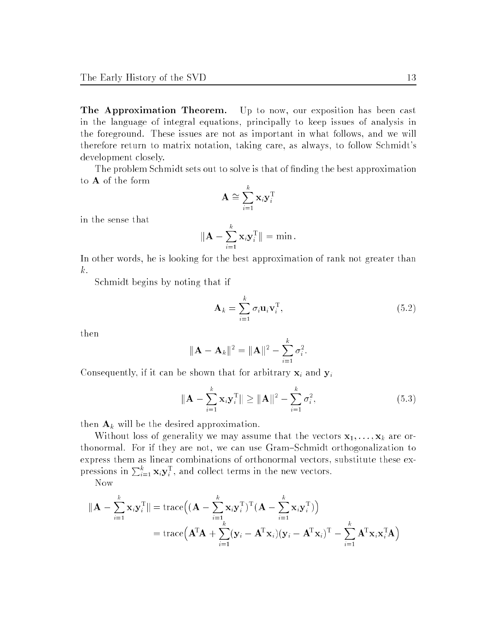The Approximation Theorem. Up to now, our exposition has been cast in the language of integral equations, principally to keep issues of analysis in the foreground. These issues are not as important in what follows, and we will therefore return to matrix notation, taking care, as always, to follow Schmidt's development closely.

The problem Schmidt sets out to solve is that of nding the best approximation to A of the form

$$
\mathbf{A} \cong \sum_{i=1}^k \mathbf{x}_i \mathbf{y}_i^{\mathrm{T}}
$$

in the sense that

$$
\|\mathbf{A} - \sum_{i=1}^k \mathbf{x}_i \mathbf{y}_i^{\mathrm{T}}\| = \min.
$$

In other words, he is looking for the best approximation of rank not greater than k.

Schmidt begins by noting that if

$$
\mathbf{A}_k = \sum_{i=1}^k \sigma_i \mathbf{u}_i \mathbf{v}_i^{\mathrm{T}},
$$
\n(5.2)

then

$$
\|\mathbf{A} - \mathbf{A}_k\|^2 = \|\mathbf{A}\|^2 - \sum_{i=1}^k \sigma_i^2.
$$

Consequently, if it can be shown that for arbitrary  $\mathbf{x}_i$  and  $\mathbf{y}_i$ 

$$
\|\mathbf{A} - \sum_{i=1}^{k} \mathbf{x}_{i} \mathbf{y}_{i}^{\mathrm{T}}\| \ge \|\mathbf{A}\|^{2} - \sum_{i=1}^{k} \sigma_{i}^{2},
$$
\n(5.3)

then  $\mathbf{A}_k$  will be the desired approximation.

Without loss of generality we may assume that the vectors  $x_1, \ldots, x_k$  are orthonormal. For if they are not, we can use Gram–Schmidt orthogonalization to express them as linear combinations of orthonormal vectors, substitute these expressions in  $\sum_{i=1}^k \mathbf{x}_i \mathbf{y}_i^T$ , and collect terms in the new vectors.

Now

$$
\|\mathbf{A} - \sum_{i=1}^{k} \mathbf{x}_{i} \mathbf{y}_{i}^{\mathrm{T}}\| = \text{trace}\Big((\mathbf{A} - \sum_{i=1}^{k} \mathbf{x}_{i} \mathbf{y}_{i}^{\mathrm{T}})^{\mathrm{T}}(\mathbf{A} - \sum_{i=1}^{k} \mathbf{x}_{i} \mathbf{y}_{i}^{\mathrm{T}})\Big)
$$
  
= 
$$
\text{trace}\Big(\mathbf{A}^{\mathrm{T}}\mathbf{A} + \sum_{i=1}^{k} (\mathbf{y}_{i} - \mathbf{A}^{\mathrm{T}}\mathbf{x}_{i})(\mathbf{y}_{i} - \mathbf{A}^{\mathrm{T}}\mathbf{x}_{i})^{\mathrm{T}} - \sum_{i=1}^{k} \mathbf{A}^{\mathrm{T}}\mathbf{x}_{i} \mathbf{x}_{i}^{\mathrm{T}}\mathbf{A}\Big)
$$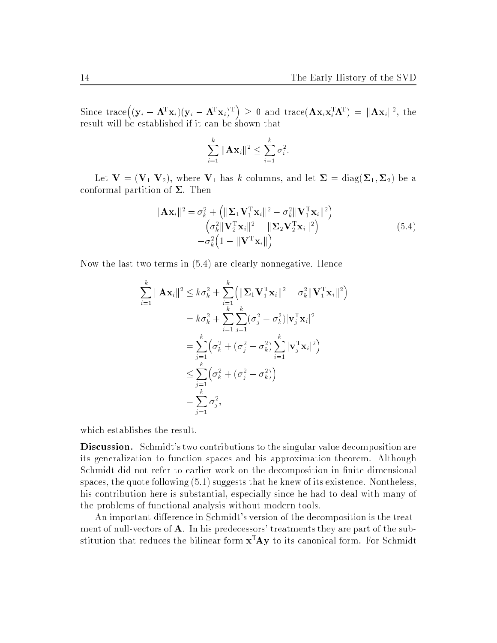Since trace  $((\mathbf{y}_i - \mathbf{A}^T \mathbf{x}_i)(\mathbf{y}_i - \mathbf{A}^T \mathbf{x}_i)^T) \ge 0$  and trace  $(\mathbf{A} \mathbf{x}_i \mathbf{x}_i^T \mathbf{A}^T) = ||\mathbf{A} \mathbf{x}_i||^2$ , the result will be established if it can be shown that

$$
\sum_{i=1}^k \|\mathbf{A}\mathbf{x}_i\|^2 \leq \sum_{i=1}^k \sigma_i^2.
$$

Let  $V$  is a column of the variance values of  $\mathbb{R}^n$  and  $\mathbb{R}^n$  and  $\mathbb{R}^n$ conformal partition of  $\Sigma$ . Then

$$
\|\mathbf{A}\mathbf{x}_{i}\|^{2} = \sigma_{k}^{2} + \left(\|\mathbf{\Sigma}_{1}\mathbf{V}_{1}^{\mathrm{T}}\mathbf{x}_{i}\|^{2} - \sigma_{k}^{2}\|\mathbf{V}_{1}^{\mathrm{T}}\mathbf{x}_{i}\|^{2}\right) - \left(\sigma_{k}^{2}\|\mathbf{V}_{2}^{\mathrm{T}}\mathbf{x}_{i}\|^{2} - \|\mathbf{\Sigma}_{2}\mathbf{V}_{2}^{\mathrm{T}}\mathbf{x}_{i}\|^{2}\right) - \sigma_{k}^{2}\left(1 - \|\mathbf{V}^{\mathrm{T}}\mathbf{x}_{i}\|\right)
$$
\n(5.4)

Now the last two terms in (5.4) are clearly nonnegative. Hence

$$
\sum_{i=1}^{k} \|\mathbf{A}\mathbf{x}_{i}\|^{2} \leq k\sigma_{k}^{2} + \sum_{i=1}^{k} \left( \|\mathbf{\Sigma}_{1}\mathbf{V}_{1}^{\mathrm{T}}\mathbf{x}_{i}\|^{2} - \sigma_{k}^{2} \|\mathbf{V}_{1}^{\mathrm{T}}\mathbf{x}_{i}\|^{2} \right)
$$
  
\n
$$
= k\sigma_{k}^{2} + \sum_{i=1}^{k} \sum_{j=1}^{k} (\sigma_{j}^{2} - \sigma_{k}^{2}) |\mathbf{v}_{j}^{\mathrm{T}}\mathbf{x}_{i}|^{2}
$$
  
\n
$$
= \sum_{j=1}^{k} (\sigma_{k}^{2} + (\sigma_{j}^{2} - \sigma_{k}^{2}) \sum_{i=1}^{k} |\mathbf{v}_{j}^{\mathrm{T}}\mathbf{x}_{i}|^{2})
$$
  
\n
$$
\leq \sum_{j=1}^{k} (\sigma_{k}^{2} + (\sigma_{j}^{2} - \sigma_{k}^{2}))
$$
  
\n
$$
= \sum_{j=1}^{k} \sigma_{j}^{2},
$$

which establishes the result.

Discussion. Schmidt's two contributions to the singular value decomposition are its generalization to function spaces and his approximation theorem. Although Schmidt did not refer to earlier work on the decomposition in finite dimensional spaces, the quote following (5.1) suggests that he knew of its existence. Nontheless, his contribution here is substantial, especially since he had to deal with many of the problems of functional analysis without modern tools.

An important difference in Schmidt's version of the decomposition is the treatment of null-vectors of A. In his predecessors' treatments they are part of the substitution that reduces the bilinear form  $x^T A y$  to its canonical form. For Schmidt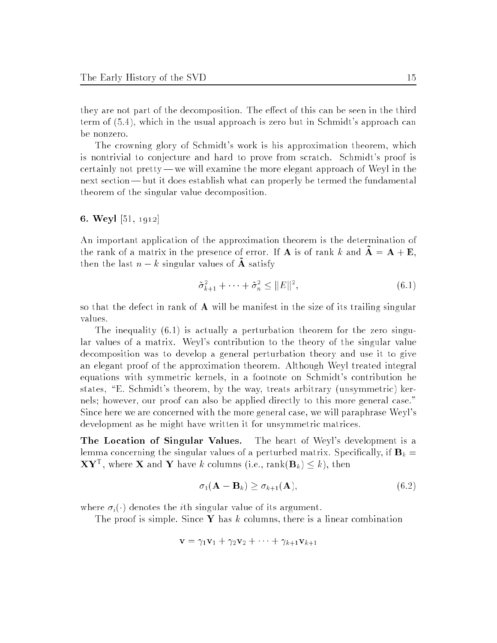they are not part of the decomposition. The effect of this can be seen in the third term of (5.4), which in the usual approach is zero but in Schmidt's approach can be nonzero.

The crowning glory of Schmidt's work is his approximation theorem, which is nontrivial to conjecture and hard to prove from scratch. Schmidt's proof is certainly not pretty — we will examine the more elegant approach of Weyl in the next section— but it does establish what can properly be termed the fundamental theorem of the singular value decomposition.

#### 6. Weyl [51, 1912]

An important application of the approximation theorem is the determination of the rank of a matrix in the presence of error. If **A** is of rank k and  $\mathbf{A} = \mathbf{A} + \mathbf{E}$ , then the last  $n - k$  singular values of  $\tilde{A}$  satisfy

$$
\tilde{\sigma}_{k+1}^2 + \dots + \tilde{\sigma}_n^2 \le ||E||^2,\tag{6.1}
$$

so that the defect in rank of  $\bf{A}$  will be manifest in the size of its trailing singular

The inequality (6.1) is actually a perturbation theorem for the zero singular values of a matrix. Weyl's contribution to the theory of the singular value decomposition was to develop a general perturbation theory and use it to give an elegant proof of the approximation theorem. Although Weyl treated integral equations with symmetric kernels, in a footnote on Schmidt's contribution he states, "E. Schmidt's theorem, by the way, treats arbitrary (unsymmetric) kernels; however, our proof can also be applied directly to this more general case." Since here we are concerned with the more general case, we will paraphrase Weyl's development as he might have written it for unsymmetric matrices.

The Location of Singular Values. The heart of Weyl's development is a lemma concerning the singular values of a perturbed matrix. Specifically, if  $\mathbf{B}_k =$  $\mathbf{\Lambda} \mathbf{Y}^-$ , where  $\mathbf{\Lambda}$  and  $\mathbf{Y}$  have k columns (i.e., rank( $\mathbf{D}_k$ )  $\leq k$ ), then

$$
\sigma_1(\mathbf{A} - \mathbf{B}_k) \ge \sigma_{k+1}(\mathbf{A}),\tag{6.2}
$$

where  $\sigma_i(\cdot)$  denotes the *i*th singular value of its argument.

The proof is simple. Since Y has k columns, there is a linear combination

$$
\mathbf{v} = \gamma_1 \mathbf{v}_1 + \gamma_2 \mathbf{v}_2 + \cdots + \gamma_{k+1} \mathbf{v}_{k+1}
$$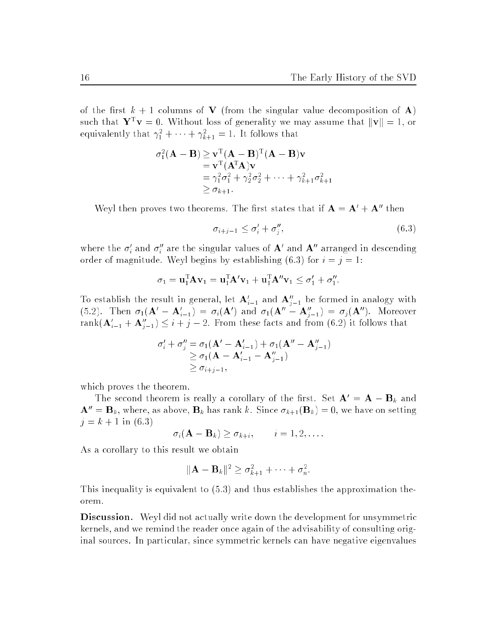of the first  $k + 1$  columns of V (from the singular value decomposition of A) such that  $\mathbf{r} \cdot \mathbf{v} = \mathbf{0}$ . Without loss of generality we may assume that  $\|\mathbf{v}\| = 1$ , or equivalently that  $\gamma_{1}^{+} + \cdots + \gamma_{k+1}^{-} =$  1. It follows that

$$
\sigma_1^2(\mathbf{A} - \mathbf{B}) \ge \mathbf{v}^T(\mathbf{A} - \mathbf{B})^T(\mathbf{A} - \mathbf{B})\mathbf{v}
$$
  
=  $\mathbf{v}^T(\mathbf{A}^T\mathbf{A})\mathbf{v}$   
=  $\gamma_1^2 \sigma_1^2 + \gamma_2^2 \sigma_2^2 + \dots + \gamma_{k+1}^2 \sigma_{k+1}^2$   
 $\ge \sigma_{k+1}.$ 

Weyl then proves two theorems. The first states that if  $\mathbf{A} = \mathbf{A}' + \mathbf{A}''$  then

$$
\sigma_{i+j-1} \le \sigma_i' + \sigma_j'',\tag{6.3}
$$

where the  $\sigma_i$  and  $\sigma_i$  are the singular values of  $A$  and  $A$  arranged in descending order of magnitude. Weyl begins by establishing (6.3) for  $i = j = 1$ :

$$
\sigma_1 = \mathbf{u}_1^{\mathrm{T}} \mathbf{A} \mathbf{v}_1 = \mathbf{u}_1^{\mathrm{T}} \mathbf{A}' \mathbf{v}_1 + \mathbf{u}_1^{\mathrm{T}} \mathbf{A}'' \mathbf{v}_1 \leq \sigma_1' + \sigma_1''.
$$

To establish the result in general, let  $A_{i-1}$  and  $A_{i-1}$  be formed in analogy with (5.2). Then  $\sigma_1(\mathbf{A} - \mathbf{A}_{i-1}) = \sigma_i(\mathbf{A})$  and  $\sigma_1(\mathbf{A} - \mathbf{A}_{i-1}) = \sigma_j(\mathbf{A})$ . Moreover rank $(\mathbf{A}_{i-1} + \mathbf{A}_{i-1}) \leq i + j - 2$ . From these facts and from (0.2) it follows that

$$
\sigma'_{i} + \sigma''_{j} = \sigma_{1}(\mathbf{A}' - \mathbf{A}'_{i-1}) + \sigma_{1}(\mathbf{A}'' - \mathbf{A}''_{j-1})
$$
  
\n
$$
\geq \sigma_{1}(\mathbf{A} - \mathbf{A}'_{i-1} - \mathbf{A}''_{j-1})
$$
  
\n
$$
\geq \sigma_{i+j-1},
$$

which proves the theorem.

The second theorem is really a corollary of the first. Set  $\mathbf{A}' = \mathbf{A} - \mathbf{B}_k$  and  $\mathbf{A}^{\prime\prime} = \mathbf{B}_k$ , where, as above,  $\mathbf{B}_k$  has rank k. Since  $\sigma_{k+1}(\mathbf{B}_k) = 0$ , we have on setting  $j = k + 1$  in (6.3)

$$
\sigma_i(\mathbf{A}-\mathbf{B}_k) \geq \sigma_{k+i}, \qquad i=1,2,\ldots.
$$

As a corollary to this result we obtain

$$
\|\mathbf{A}-\mathbf{B}_k\|^2 \geq \sigma_{k+1}^2 + \cdots + \sigma_n^2.
$$

This inequality is equivalent to (5.3) and thus establishes the approximation theorem.

Discussion. Weyl did not actually write down the development for unsymmetric kernels, and we remind the reader once again of the advisability of consulting original sources. In particular, since symmetric kernels can have negative eigenvalues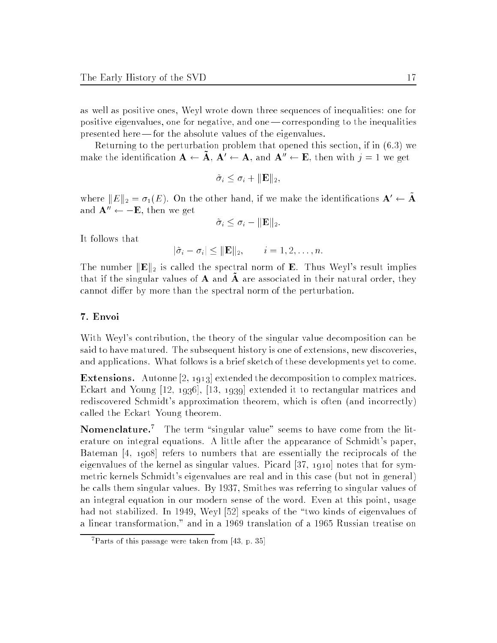as well as positive ones, Weyl wrote down three sequences of inequalities: one for positive eigenvalues, one for negative, and one| corresponding to the inequalities presented here — for the absolute values of the eigenvalues.

Returning to the perturbation problem that opened this section, if in (6.3) we make the identification  $A \leftarrow \tilde{A}$ ,  $A' \leftarrow A$ , and  $A'' \leftarrow E$ , then with  $j = 1$  we get

$$
\tilde{\sigma}_i \leq \sigma_i + ||\mathbf{E}||_2,
$$

where  $||E||_2 = \sigma_1(E)$ . On the other hand, if we make the identifications  $\mathbf{A} \leftarrow \mathbf{A}$ and  $\mathbf{A}^{\prime\prime} \leftarrow -\mathbf{E}$ , then we get

$$
\tilde{\sigma}_i \leq \sigma_i - \|\mathbf{E}\|_2.
$$

It follows that

$$
|\tilde{\sigma}_i - \sigma_i| \leq ||\mathbf{E}||_2, \qquad i = 1, 2, \dots, n.
$$

The number  $\|\mathbf{E}\|_2$  is called the spectral norm of **E**. Thus Weyl's result implies that if the singular values of  $A$  and  $A$  are associated in their natural order, they cannot differ by more than the spectral norm of the perturbation.

#### 7. Envoi

With Weyl's contribution, the theory of the singular value decomposition can be said to have matured. The subsequent history is one of extensions, new discoveries, and applications. What follows is a brief sketch of these developments yet to come.

Extensions. Autonne [2, 1913] extended the decomposition to complex matrices. Eckart and Young [12, 1936], [13, 1939] extended it to rectangular matrices and rediscovered Schmidt's approximation theorem, which is often (and incorrectly) called the Eckart-Young theorem.

**Nomenclature.** The term singular value seems to have come from the iiterature on integral equations. A little after the appearance of Schmidt's paper, Bateman [4, 1908] refers to numbers that are essentially the reciprocals of the eigenvalues of the kernel as singular values. Picard [37, 1910] notes that for symmetric kernels Schmidt's eigenvalues are real and in this case (but not in general) he calls them singular values. By 1937, Smithes was referring to singular values of an integral equation in our modern sense of the word. Even at this point, usage had not stabilized. In 1949, Weyl [52] speaks of the "two kinds of eigenvalues of a linear transformation," and in a 1969 translation of a 1965 Russian treatise on

<sup>7</sup> Parts of this passage were taken from [43, p. 35]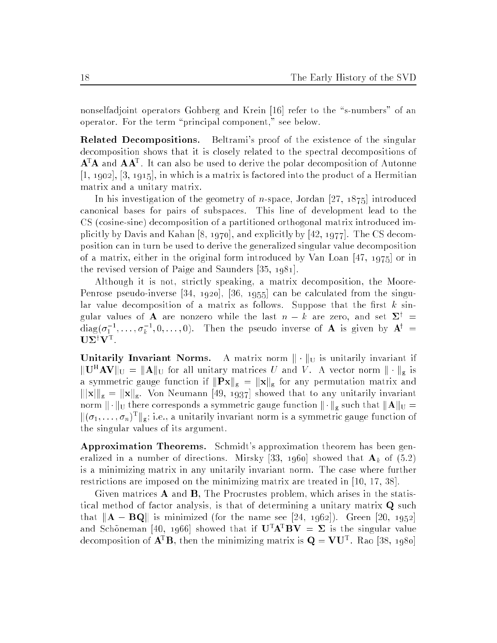nonselfadjoint operators Gohberg and Krein [16] refer to the "s-numbers" of an operator. For the term \principal component," see below.

Related Decompositions. Beltrami's proof of the existence of the singular decomposition shows that it is closely related to the spectral decompositions of  ${\bf A}^-{\bf A}^-$  and  ${\bf A}^-{\bf A}^-$ . It can also be used to derive the polar decomposition of Autonne  $[1, 1902], [3, 1915],$  in which is a matrix is factored into the product of a Hermitian matrix and a unitary matrix.

In his investigation of the geometry of  $n$ -space, Jordan [27, 1875] introduced canonical bases for pairs of subspaces. This line of development lead to the CS (cosine-sine) decomposition of a partitioned orthogonal matrix introduced implicitly by Davis and Kahan [8, 1970], and explicitly by [42, 1977]. The CS decomposition can in turn be used to derive the generalized singular value decomposition of a matrix, either in the original form introduced by Van Loan [47, 1975] or in the revised version of Paige and Saunders [35, 1981].

Although it is not, strictly speaking, a matrix decomposition, the Moore-Penrose pseudo-inverse [34, 1920], [36, 1955] can be calculated from the singular value decomposition of a matrix as follows. Suppose that the first  $k$  singular values of **A** are nonzero while the last  $n - k$  are zero, and set  $\Sigma^{\dagger}$  = diag( $\sigma_1$  ,  $\ldots, \sigma_k$  ,  $0, \ldots, 0$ ). Then the pseudo inverse of  ${\bf A}$  is given by  ${\bf A}^c$  =  $UZ'V^{\dagger}$ .

Unitarily Invariant Northern A matrix is unitarily in the matrix  $\mathbb{U}$  is unitarily invariant if  $\mathbb{E}[\mathbf{U}^T \mathbf{A} \mathbf{V} ]$   $\mathbb{E}[\mathbf{X}]$  is the all unitary matrices U and V. A vector norm  $\|\cdot\|_{\mathbf{g}}$  is a symmetric gauge function if  $\| \mathbf{r} \|$  for any permutation matrix and matrix and kj $\mathbf{r}$  is a known for  $\mathbf{r}$  , and the showed that the showed that to any unitarily invariant to any unitarily interesting  $\frac{1}{2}$  . K  $\frac{1}{2}$  there corresponds a symmetric gauge function k  $\frac{1}{2}$  such that  $\frac{1}{2}$  $\lVert (\sigma_1, \ldots, \sigma_n)^+ \rVert_{\mathfrak{C}};$  i.e., a unitarily invariant norm is a symmetric gauge function of the singular values of its argument.

Approximation Theorems. Schmidt's approximation theorem has been generalized in a number of directions. Mirsky [33, 1960] showed that  $\mathbf{A}_k$  of (5.2) is a minimizing matrix in any unitarily invariant norm. The case where further restrictions are imposed on the minimizing matrix are treated in [10, 17, 38].

Given matrices A and B, The Procrustes problem, which arises in the statistical method of factor analysis, is that of determining a unitary matrix Q such that  $\|\mathbf{A} - \mathbf{BQ}\|$  is minimized (for the name see [24, 1962]). Green [20, 1952] and Schöneman [40, 1966] showed that if  $U^{T}A^{T}BV = \Sigma$  is the singular value decomposition of  $A^{\dagger}B$ , then the minimizing matrix is  $Q = VU^{\dagger}$ . Kao [38, 1980]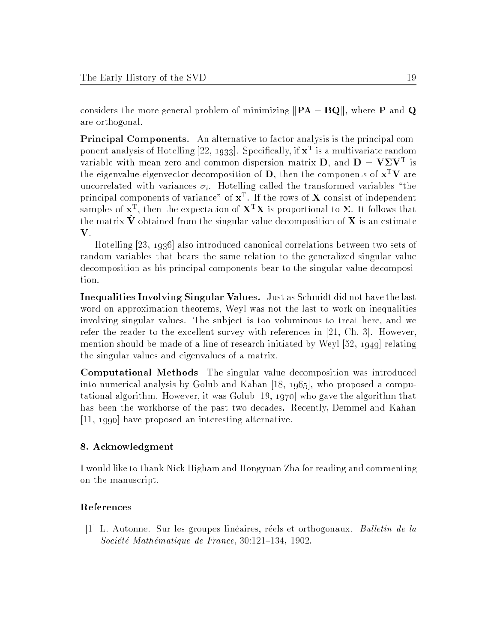considers the more general problem of minimizing  $\|\mathbf{PA} - \mathbf{BQ}\|$ , where P and Q are orthogonal.

Principal Components. An alternative to factor analysis is the principal component analysis of Hotelling  $[22, 1933]$ . Specifically, if  $\mathbf{X}^+$  is a multivariate random variable with mean zero and common dispersion matrix **D**, and  $D = V \Delta V$  is the eigenvalue-eigenvector decomposition of **D**, then the components of  $\mathbf{x}^T \mathbf{V}$  are uncorrelated with variances  $\sigma_i$ . Hotelling called the transformed variables "the principal components of variance of  $x^-$ . If the rows of  $\Lambda$  consist of independent samples of  $X^{\tau}$ , then the expectation of  $\mathbf{A}^{\tau}\mathbf{A}$  is proportional to  $\mathbf{Z}_t$ . It follows that the matrix  $\hat{\mathbf{V}}$  obtained from the singular value decomposition of **X** is an estimate V.

Hotelling [23, 1936] also introduced canonical correlations between two sets of random variables that bears the same relation to the generalized singular value decomposition as his principal components bear to the singular value decomposition.

Inequalities Involving Singular Values. Just as Schmidt did not have the last word on approximation theorems, Weyl was not the last to work on inequalities involving singular values. The subject is too voluminous to treat here, and we refer the reader to the excellent survey with references in [21, Ch. 3]. However, mention should be made of a line of research initiated by Weyl [52, 1949] relating the singular values and eigenvalues of a matrix.

Computational Methods The singular value decomposition was introduced into numerical analysis by Golub and Kahan [18, 1965], who proposed a computational algorithm. However, it was Golub [19, 1970] who gave the algorithm that has been the workhorse of the past two decades. Recently, Demmel and Kahan [11, 1990] have proposed an interesting alternative.

### 8. Acknowledgment

I would like to thank Nick Higham and Hongyuan Zha for reading and commenting on the manuscript.

## References

[1] L. Autonne. Sur les groupes lineaires, reels et orthogonaux. Bulletin de la  $Société Mathématique de France, 30:121-134, 1902.$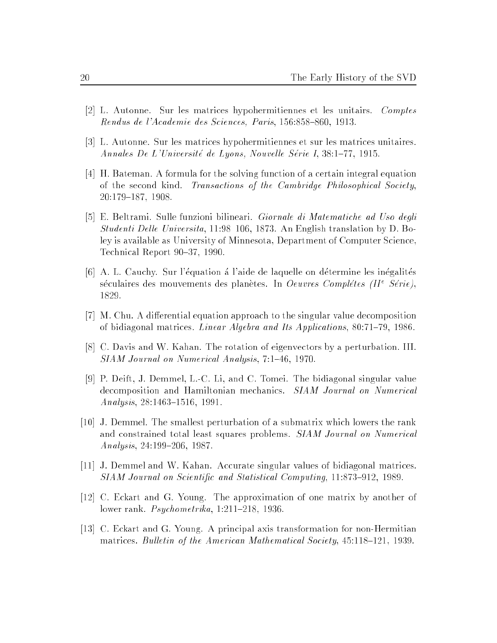- [2] L. Autonne. Sur les matrices hypohermitiennes et les unitairs. Comptes Rendus de l'Academie des Sciences, Paris, 156:858-860, 1913.
- [3] L. Autonne. Sur les matrices hypohermitiennes et sur les matrices unitaires. Annales De L'Université de Lyons, Nouvelle Série I, 38:1-77, 1915.
- [4] H. Bateman. A formula for the solving function of a certain integral equation of the second kind. Transactions of the Cambridge Philosophical Society, 20:179-187, 1908.
- [5] E. Beltrami. Sulle funzioni bilineari. Giornale di Matematiche ad Uso degli Studenti Delle Universita, 11:98-106, 1873. An English translation by D. Boley is available as University of Minnesota, Department of Computer Science, Technical Report 90–37, 1990.
- [6] A. L. Cauchy. Sur l'equation a l'aide de laquelle on determine les inegalites seculaires des mouvements des planetes. In *Oeuvres Completes (II<sup>-</sup> Serie)*, 1829.
- [7] M. Chu. A differential equation approach to the singular value decomposition of bidiagonal matrices. *Linear Algebra and Its Applications*,  $80:71{-}79$ , 1986.
- [8] C. Davis and W. Kahan. The rotation of eigenvectors by a perturbation. III. SIAM Journal on Numerical Analysis, 7:1-46, 1970.
- [9] P. Deift, J. Demmel, L.-C. Li, and C. Tomei. The bidiagonal singular value decomposition and Hamiltonian mechanics. SIAM Journal on Numerical Analysis, 28:1463-1516, 1991.
- [10] J. Demmel. The smallest perturbation of a submatrix which lowers the rank and constrained total least squares problems. SIAM Journal on Numerical  $Analysis, 24:199-206, 1987.$
- [11] J. Demmel and W. Kahan. Accurate singular values of bidiagonal matrices. SIAM Journal on Scientific and Statistical Computing, 11:873-912, 1989.
- [12] C. Eckart and G. Young. The approximation of one matrix by another of lower rank.  $Psychometrika$ , 1:211-218, 1936.
- [13] C. Eckart and G. Young. A principal axis transformation for non-Hermitian matrices. Bulletin of the American Mathematical Society,  $45:118{-}121$ , 1939.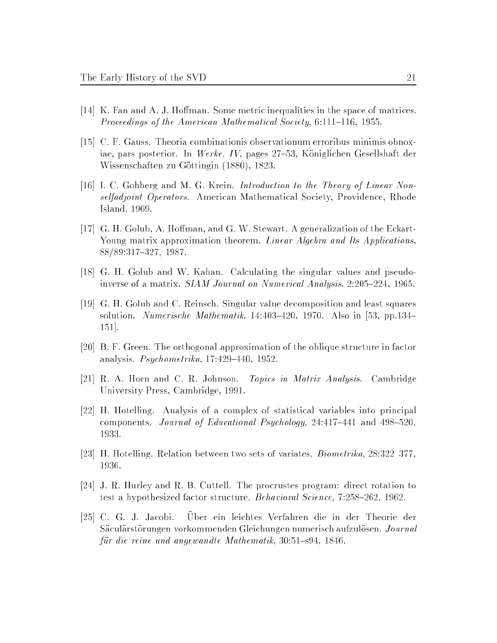- $[14]$  K. Fan and A. J. Hoffman. Some metric inequalities in the space of matrices. Proceedings of the American Mathematical Society,  $6:111-116$ , 1955.
- [15] C. F. Gauss. Theoria combinationis observationum erroribus minimis obnoxiae, pars posterior. In Werke, IV, pages  $27-53$ , Königlichen Gesellshaft der Wissenschaften zu Gottingin (1880), 1823.
- [16] I. C. Gohberg and M. G. Krein. Introduction to the Theory of Linear Nonselfadjoint Operators. American Mathematical Society, Providence, Rhode Island, 1969.
- [17] G. H. Golub, A. Hoffman, and G. W. Stewart. A generalization of the Eckart-Young matrix approximation theorem. Linear Algebra and Its Applications, 88/89:317-327, 1987.
- [18] G. H. Golub and W. Kahan. Calculating the singular values and pseudoinverse of a matrix. *SIAM Journal on Numerical Analysis*,  $2:205{-}224$ , 1965.
- [19] G. H. Golub and C. Reinsch. Singular value decomposition and least squares solution. Numerische Mathematik, 14:403-420, 1970. Also in [53, pp.134-151].
- [20] B. F. Green. The orthogonal approximation of the oblique structure in factor analysis.  $Psychometrika$ , 17:429-440, 1952.
- [21] R. A. Horn and C. R. Johnson. Topics in Matrix Analysis. Cambridge University Press, Cambridge, 1991.
- [22] H. Hotelling. Analysis of a complex of statistical variables into principal components. Journal of Educational Psychology,  $24.417{-}441$  and  $498{-}520$ , 1933.
- [23] H. Hotelling. Relation between two sets of variates. *Biometrika*,  $28:322-377$ , 1936.
- [24] J. R. Hurley and R. B. Cuttell. The procrustes program: direct rotation to test a hypothesized factor structure. Behavioral Science,  $7:258{-}262$ , 1962.
- $[25]$  C. G. J. Jacobi. ein leichtes Verfahren die in der Theorie der Sacularstorungen vorkommenden Gleichungen numerisch aufzulosen. Journal für die reine und angewandte Mathematik,  $30.51{-}s94$ , 1846.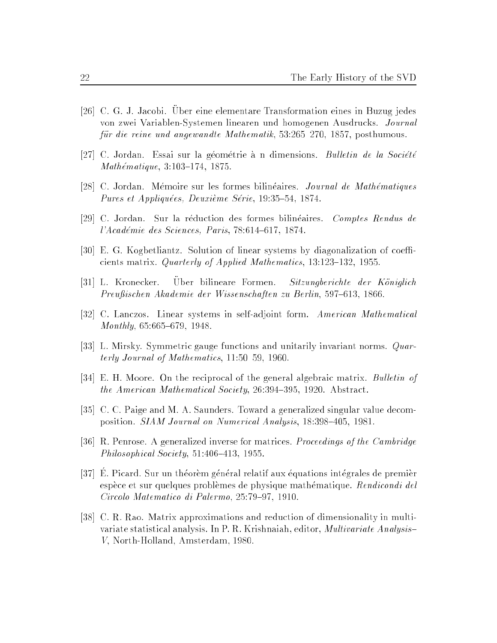- [26] C. G. J. Jacobi. Uber eine elementare Transformation eines in Buzug jedes von zwei Variablen-Systemen linearen und homogenen Ausdrucks. Journal für die reine und angewandte Mathematik, 53:265-270, 1857, posthumous.
- [27] C. Jordan. Essai sur la géométrie à n dimensions. Bulletin de la Société  $Mathématique, 3:103–174, 1875.$
- [28] C. Jordan. Mémoire sur les formes bilinéaires. *Journal de Mathématiques* Pures et Appliquées, Deuxième Série, 19:35-54, 1874.
- [29] C. Jordan. Sur la reduction des formes bilineaires. Comptes Rendus de  $l'Académie des Sciences, Paris, 78:614-617, 1874.$
- [30] E. G. Kogbetliantz. Solution of linear systems by diagonalization of coefficients matrix. Quarterly of Applied Mathematics,  $13:123-132$ ,  $1955$ .
- [31] L. Kronecker. Uber bilineare Formen. Sitzungberichte der Koniglich Preußischen Akademie der Wissenschaften zu Berlin, 597-613, 1866.
- [32] C. Lanczos. Linear systems in self-adjoint form. American Mathematical  $Monthly, 65:665–679, 1948.$
- [33] L. Mirsky. Symmetric gauge functions and unitarily invariant norms. Quarterly Journal of Mathematics,  $11:50-59$ , 1960.
- [34] E. H. Moore. On the reciprocal of the general algebraic matrix. Bulletin of the American Mathematical Society,  $26:394-395$ , 1920. Abstract.
- [35] C. C. Paige and M. A. Saunders. Toward a generalized singular value decomposition. *SIAM Journal on Numerical Analysis*, 18:398-405, 1981.
- [36] R. Penrose. A generalized inverse for matrices. Proceedings of the Cambridge Philosophical Society,  $51:406-413$ , 1955.
- [37] E. Picard. Sur un theorem general relatif aux equations integrales de premier espèce et sur quelques problèmes de physique mathématique. Rendicondi del Circolo Matematico di Palermo, 25:79-97, 1910.
- [38] C. R. Rao. Matrix approximations and reduction of dimensionality in multivariate statistical analysis. In P. R. Krishnaiah, editor, Multivariate Analysis{ V, North-Holland, Amsterdam, 1980.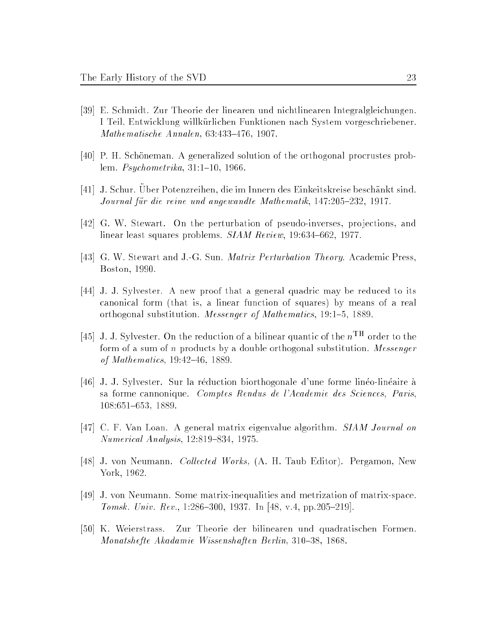- [39] E. Schmidt. Zur Theorie der linearen und nichtlinearen Integralgleichungen. I Teil. Entwicklung willkurlichen Funktionen nach System vorgeschriebener.  $Mathematicsche Annalen, 63:433–476, 1907.$
- [40] P. H. Schoneman. A generalized solution of the orthogonal procrustes problem.  $Psychometrika$ ,  $31:1–10$ , 1966.
- [41] J. Schur. Uber P otenzreihen, die im Innern des Einkeitskreise beschankt sind. Journal für die reine und angewandte Mathematik, 147:205-232, 1917.
- [42] G. W. Stewart. On the perturbation of pseudo-inverses, projections, and linear least squares problems.  $SIAM$   $Review$ ,  $19:634-662$ ,  $1977$ .
- [43] G. W. Stewart and J.-G. Sun. Matrix Perturbation Theory. Academic Press, Boston, 1990.
- [44] J. J. Sylvester. A new proof that a general quadric may be reduced to its canonical form (that is, a linear function of squares) by means of a real orthogonal substitution. *Messenger of Mathematics*, 19:1-5, 1889.
- [45] J. J. Sylvester. On the reduction of a bilinear quantic of the  $n<sup>TH</sup>$  order to the form of a sum of n products by a double orthogonal substitution. Messenger of Mathematics,  $19:42{-}46, 1889$ .
- [46] J. J. Sylvester. Sur la reduction biorthogonale d'une forme lineo-lineaire a sa forme cannonique. Comptes Rendus de l'Academie des Sciences, Paris, 108:651-653, 1889.
- [47] C. F. Van Loan. A general matrix eigenvalue algorithm. SIAM Journal on  $Numerical Analysis, 12:819-834, 1975.$
- [48] J. von Neumann. Collected Works, (A. H. Taub Editor). Pergamon, New York, 1962.
- [49] J. von Neumann. Some matrix-inequalities and metrization of matrix-space. Tomsk. Univ. Rev., 1:286-300, 1937. In [48, v.4, pp.205-219].
- [50] K. Weierstrass. Zur Theorie der bilinearen und quadratischen Formen. Monatshefte Akadamie Wissenshaften Berlin, 310-38, 1868.